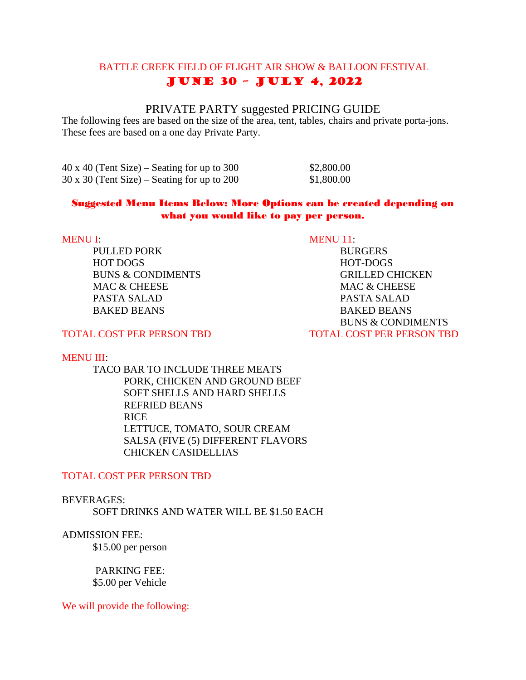# BATTLE CREEK FIELD OF FLIGHT AIR SHOW & BALLOON FESTIVAL June 30 – July 4, 2022

# PRIVATE PARTY suggested PRICING GUIDE

The following fees are based on the size of the area, tent, tables, chairs and private porta-jons. These fees are based on a one day Private Party.

40 x 40 (Tent Size) – Seating for up to 300 \$2,800.00  $30 \times 30$  (Tent Size) – Seating for up to 200 \$1,800.00

### Suggested Menu Items Below; More Options can be created depending on what you would like to pay per person.

PULLED PORK BURGERS HOT DOGS HOT-DOGS MAC & CHEESE MAC & CHEESE PASTA SALAD PASTA SALAD BAKED BEANS BAKED BEANS

MENU I: MENU I1:

BUNS & CONDIMENTS GRILLED CHICKEN BUNS & CONDIMENTS TOTAL COST PER PERSON TBD TOTAL COST PER PERSON TBD

### MENU III:

TACO BAR TO INCLUDE THREE MEATS PORK, CHICKEN AND GROUND BEEF SOFT SHELLS AND HARD SHELLS REFRIED BEANS RICE LETTUCE, TOMATO, SOUR CREAM SALSA (FIVE (5) DIFFERENT FLAVORS CHICKEN CASIDELLIAS

### TOTAL COST PER PERSON TBD

### BEVERAGES:

SOFT DRINKS AND WATER WILL BE \$1.50 EACH

# ADMISSION FEE:

\$15.00 per person

 PARKING FEE: \$5.00 per Vehicle

We will provide the following: